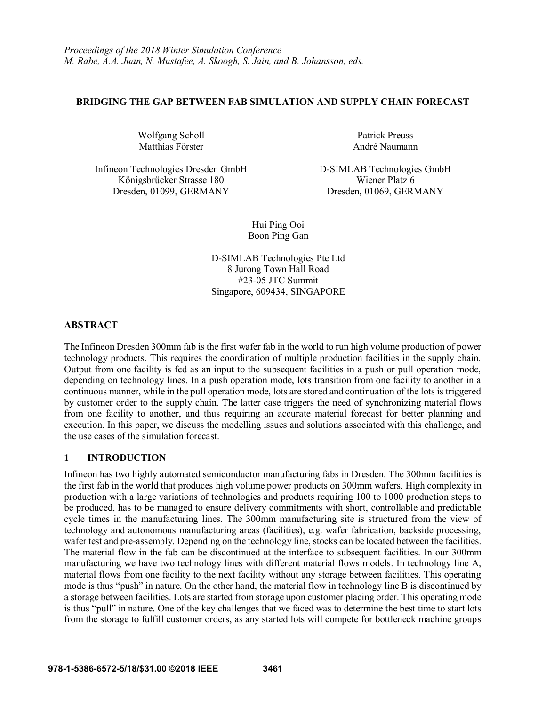### **BRIDGING THE GAP BETWEEN FAB SIMULATION AND SUPPLY CHAIN FORECAST**

Wolfgang Scholl Matthias Förster

Infineon Technologies Dresden GmbH D-SIMLAB Technologies GmbH Königsbrücker Strasse 180 Wiener Platz 6

Patrick Preuss André Naumann

Dresden, 01099, GERMANY Dresden, 01069, GERMANY

Hui Ping Ooi Boon Ping Gan

D-SIMLAB Technologies Pte Ltd 8 Jurong Town Hall Road #23-05 JTC Summit Singapore, 609434, SINGAPORE

### **ABSTRACT**

The Infineon Dresden 300mm fab is the first wafer fab in the world to run high volume production of power technology products. This requires the coordination of multiple production facilities in the supply chain. Output from one facility is fed as an input to the subsequent facilities in a push or pull operation mode, depending on technology lines. In a push operation mode, lots transition from one facility to another in a continuous manner, while in the pull operation mode, lots are stored and continuation of the lots is triggered by customer order to the supply chain. The latter case triggers the need of synchronizing material flows from one facility to another, and thus requiring an accurate material forecast for better planning and execution. In this paper, we discuss the modelling issues and solutions associated with this challenge, and the use cases of the simulation forecast.

# **1 INTRODUCTION**

Infineon has two highly automated semiconductor manufacturing fabs in Dresden. The 300mm facilities is the first fab in the world that produces high volume power products on 300mm wafers. High complexity in production with a large variations of technologies and products requiring 100 to 1000 production steps to be produced, has to be managed to ensure delivery commitments with short, controllable and predictable cycle times in the manufacturing lines. The 300mm manufacturing site is structured from the view of technology and autonomous manufacturing areas (facilities), e.g. wafer fabrication, backside processing, wafer test and pre-assembly. Depending on the technology line, stocks can be located between the facilities. The material flow in the fab can be discontinued at the interface to subsequent facilities. In our 300mm manufacturing we have two technology lines with different material flows models. In technology line A, material flows from one facility to the next facility without any storage between facilities. This operating mode is thus "push" in nature. On the other hand, the material flow in technology line B is discontinued by a storage between facilities. Lots are started from storage upon customer placing order. This operating mode is thus "pull" in nature. One of the key challenges that we faced was to determine the best time to start lots from the storage to fulfill customer orders, as any started lots will compete for bottleneck machine groups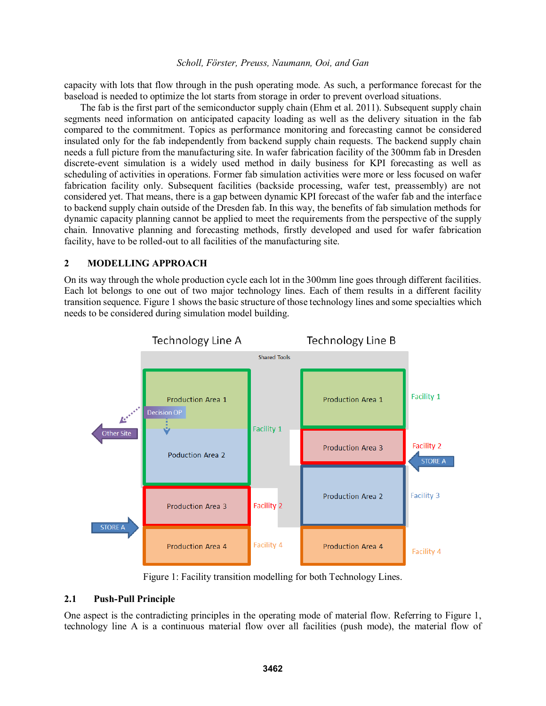capacity with lots that flow through in the push operating mode. As such, a performance forecast for the baseload is needed to optimize the lot starts from storage in order to prevent overload situations.

The fab is the first part of the semiconductor supply chain (Ehm et al. 2011). Subsequent supply chain segments need information on anticipated capacity loading as well as the delivery situation in the fab compared to the commitment. Topics as performance monitoring and forecasting cannot be considered insulated only for the fab independently from backend supply chain requests. The backend supply chain needs a full picture from the manufacturing site. In wafer fabrication facility of the 300mm fab in Dresden discrete-event simulation is a widely used method in daily business for KPI forecasting as well as scheduling of activities in operations. Former fab simulation activities were more or less focused on wafer fabrication facility only. Subsequent facilities (backside processing, wafer test, preassembly) are not considered yet. That means, there is a gap between dynamic KPI forecast of the wafer fab and the interface to backend supply chain outside of the Dresden fab. In this way, the benefits of fab simulation methods for dynamic capacity planning cannot be applied to meet the requirements from the perspective of the supply chain. Innovative planning and forecasting methods, firstly developed and used for wafer fabrication facility, have to be rolled-out to all facilities of the manufacturing site.

### **2 MODELLING APPROACH**

On its way through the whole production cycle each lot in the 300mm line goes through different facilities. Each lot belongs to one out of two major technology lines. Each of them results in a different facility transition sequence. Figure 1 shows the basic structure of those technology lines and some specialties which needs to be considered during simulation model building.



Figure 1: Facility transition modelling for both Technology Lines.

### **2.1 Push-Pull Principle**

One aspect is the contradicting principles in the operating mode of material flow. Referring to Figure 1, technology line A is a continuous material flow over all facilities (push mode), the material flow of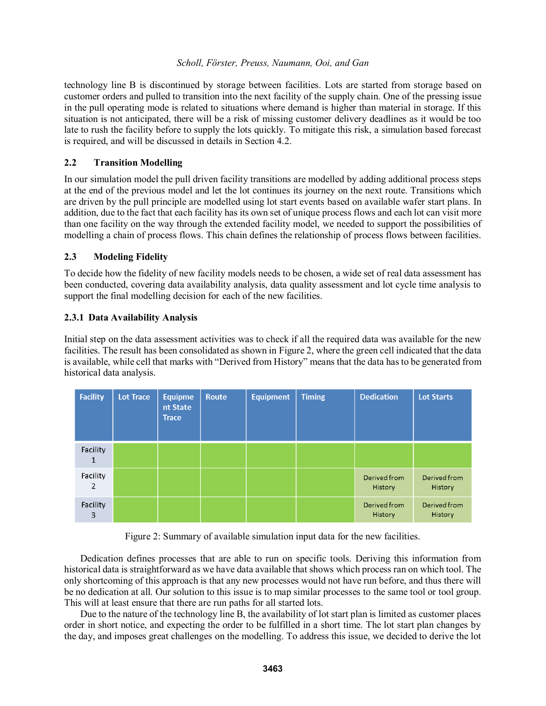technology line B is discontinued by storage between facilities. Lots are started from storage based on customer orders and pulled to transition into the next facility of the supply chain. One of the pressing issue in the pull operating mode is related to situations where demand is higher than material in storage. If this situation is not anticipated, there will be a risk of missing customer delivery deadlines as it would be too late to rush the facility before to supply the lots quickly. To mitigate this risk, a simulation based forecast is required, and will be discussed in details in Section 4.2.

### **2.2 Transition Modelling**

In our simulation model the pull driven facility transitions are modelled by adding additional process steps at the end of the previous model and let the lot continues its journey on the next route. Transitions which are driven by the pull principle are modelled using lot start events based on available wafer start plans. In addition, due to the fact that each facility has its own set of unique process flows and each lot can visit more than one facility on the way through the extended facility model, we needed to support the possibilities of modelling a chain of process flows. This chain defines the relationship of process flows between facilities.

### **2.3 Modeling Fidelity**

To decide how the fidelity of new facility models needs to be chosen, a wide set of real data assessment has been conducted, covering data availability analysis, data quality assessment and lot cycle time analysis to support the final modelling decision for each of the new facilities.

### **2.3.1 Data Availability Analysis**

Initial step on the data assessment activities was to check if all the required data was available for the new facilities. The result has been consolidated as shown in Figure 2, where the green cell indicated that the data is available, while cell that marks with "Derived from History" means that the data has to be generated from historical data analysis.

| <b>Facility</b> | Lot Trace | <b>Equipme</b><br>nt State<br><b>Trace</b> | <b>Route</b> | <b>Equipment</b> | <b>Timing</b> | <b>Dedication</b>       | <b>Lot Starts</b>              |
|-----------------|-----------|--------------------------------------------|--------------|------------------|---------------|-------------------------|--------------------------------|
| Facility<br>1   |           |                                            |              |                  |               |                         |                                |
| Facility<br>2   |           |                                            |              |                  |               | Derived from<br>History | Derived from<br><b>History</b> |
| Facility<br>3   |           |                                            |              |                  |               | Derived from<br>History | Derived from<br>History        |

Figure 2: Summary of available simulation input data for the new facilities.

Dedication defines processes that are able to run on specific tools. Deriving this information from historical data is straightforward as we have data available that shows which process ran on which tool. The only shortcoming of this approach is that any new processes would not have run before, and thus there will be no dedication at all. Our solution to this issue is to map similar processes to the same tool or tool group. This will at least ensure that there are run paths for all started lots.

Due to the nature of the technology line B, the availability of lot start plan is limited as customer places order in short notice, and expecting the order to be fulfilled in a short time. The lot start plan changes by the day, and imposes great challenges on the modelling. To address this issue, we decided to derive the lot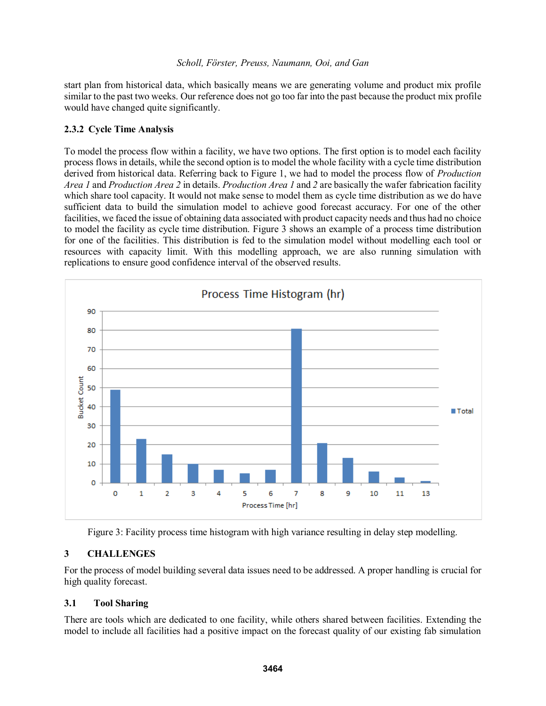start plan from historical data, which basically means we are generating volume and product mix profile similar to the past two weeks. Our reference does not go too far into the past because the product mix profile would have changed quite significantly.

# **2.3.2 Cycle Time Analysis**

To model the process flow within a facility, we have two options. The first option is to model each facility process flows in details, while the second option is to model the whole facility with a cycle time distribution derived from historical data. Referring back to Figure 1, we had to model the process flow of *Production Area 1* and *Production Area 2* in details. *Production Area 1* and *2* are basically the wafer fabrication facility which share tool capacity. It would not make sense to model them as cycle time distribution as we do have sufficient data to build the simulation model to achieve good forecast accuracy. For one of the other facilities, we faced the issue of obtaining data associated with product capacity needs and thus had no choice to model the facility as cycle time distribution. Figure 3 shows an example of a process time distribution for one of the facilities. This distribution is fed to the simulation model without modelling each tool or resources with capacity limit. With this modelling approach, we are also running simulation with replications to ensure good confidence interval of the observed results.



Figure 3: Facility process time histogram with high variance resulting in delay step modelling.

# **3 CHALLENGES**

For the process of model building several data issues need to be addressed. A proper handling is crucial for high quality forecast.

# **3.1 Tool Sharing**

There are tools which are dedicated to one facility, while others shared between facilities. Extending the model to include all facilities had a positive impact on the forecast quality of our existing fab simulation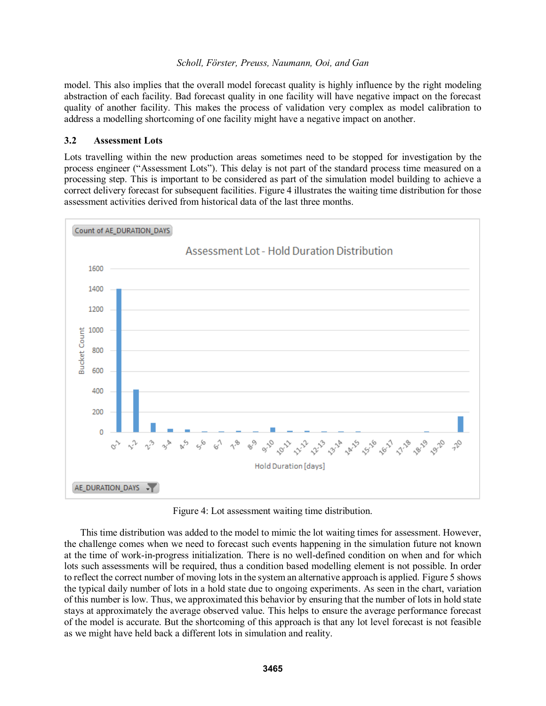model. This also implies that the overall model forecast quality is highly influence by the right modeling abstraction of each facility. Bad forecast quality in one facility will have negative impact on the forecast quality of another facility. This makes the process of validation very complex as model calibration to address a modelling shortcoming of one facility might have a negative impact on another.

#### **3.2 Assessment Lots**

Lots travelling within the new production areas sometimes need to be stopped for investigation by the process engineer ("Assessment Lots"). This delay is not part of the standard process time measured on a processing step. This is important to be considered as part of the simulation model building to achieve a correct delivery forecast for subsequent facilities. Figure 4 illustrates the waiting time distribution for those assessment activities derived from historical data of the last three months.



Figure 4: Lot assessment waiting time distribution.

This time distribution was added to the model to mimic the lot waiting times for assessment. However, the challenge comes when we need to forecast such events happening in the simulation future not known at the time of work-in-progress initialization. There is no well-defined condition on when and for which lots such assessments will be required, thus a condition based modelling element is not possible. In order to reflect the correct number of moving lots in the system an alternative approach is applied. Figure 5 shows the typical daily number of lots in a hold state due to ongoing experiments. As seen in the chart, variation of this number is low. Thus, we approximated this behavior by ensuring that the number of lots in hold state stays at approximately the average observed value. This helps to ensure the average performance forecast of the model is accurate. But the shortcoming of this approach is that any lot level forecast is not feasible as we might have held back a different lots in simulation and reality.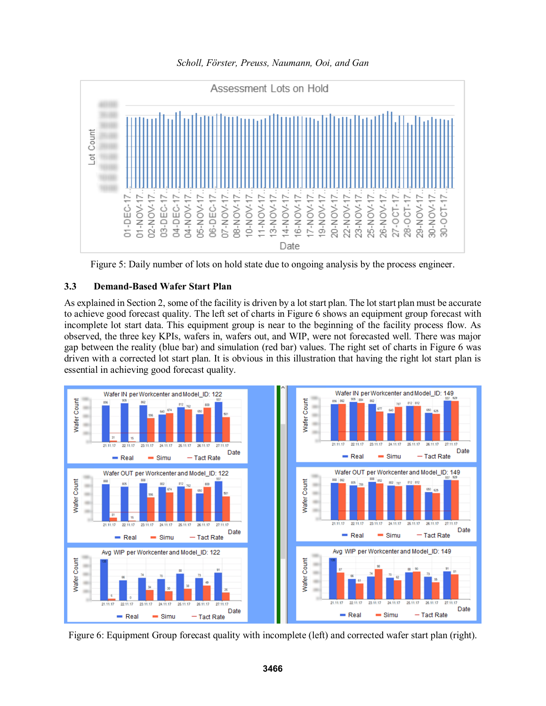*Scholl, Förster, Preuss, Naumann, Ooi, and Gan*



Figure 5: Daily number of lots on hold state due to ongoing analysis by the process engineer.

### **3.3 Demand-Based Wafer Start Plan**

As explained in Section 2, some of the facility is driven by a lot start plan. The lot start plan must be accurate to achieve good forecast quality. The left set of charts in Figure 6 shows an equipment group forecast with incomplete lot start data. This equipment group is near to the beginning of the facility process flow. As observed, the three key KPIs, wafers in, wafers out, and WIP, were not forecasted well. There was major gap between the reality (blue bar) and simulation (red bar) values. The right set of charts in Figure 6 was driven with a corrected lot start plan. It is obvious in this illustration that having the right lot start plan is essential in achieving good forecast quality.



Figure 6: Equipment Group forecast quality with incomplete (left) and corrected wafer start plan (right).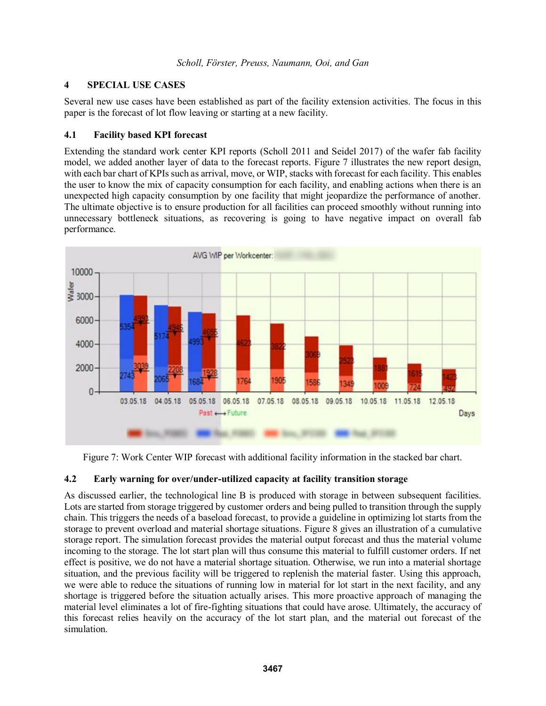# **4 SPECIAL USE CASES**

Several new use cases have been established as part of the facility extension activities. The focus in this paper is the forecast of lot flow leaving or starting at a new facility.

### **4.1 Facility based KPI forecast**

Extending the standard work center KPI reports (Scholl 2011 and Seidel 2017) of the wafer fab facility model, we added another layer of data to the forecast reports. Figure 7 illustrates the new report design, with each bar chart of KPIs such as arrival, move, or WIP, stacks with forecast for each facility. This enables the user to know the mix of capacity consumption for each facility, and enabling actions when there is an unexpected high capacity consumption by one facility that might jeopardize the performance of another. The ultimate objective is to ensure production for all facilities can proceed smoothly without running into unnecessary bottleneck situations, as recovering is going to have negative impact on overall fab performance.



Figure 7: Work Center WIP forecast with additional facility information in the stacked bar chart.

# **4.2 Early warning for over/under-utilized capacity at facility transition storage**

As discussed earlier, the technological line B is produced with storage in between subsequent facilities. Lots are started from storage triggered by customer orders and being pulled to transition through the supply chain. This triggers the needs of a baseload forecast, to provide a guideline in optimizing lot starts from the storage to prevent overload and material shortage situations. Figure 8 gives an illustration of a cumulative storage report. The simulation forecast provides the material output forecast and thus the material volume incoming to the storage. The lot start plan will thus consume this material to fulfill customer orders. If net effect is positive, we do not have a material shortage situation. Otherwise, we run into a material shortage situation, and the previous facility will be triggered to replenish the material faster. Using this approach, we were able to reduce the situations of running low in material for lot start in the next facility, and any shortage is triggered before the situation actually arises. This more proactive approach of managing the material level eliminates a lot of fire-fighting situations that could have arose. Ultimately, the accuracy of this forecast relies heavily on the accuracy of the lot start plan, and the material out forecast of the simulation.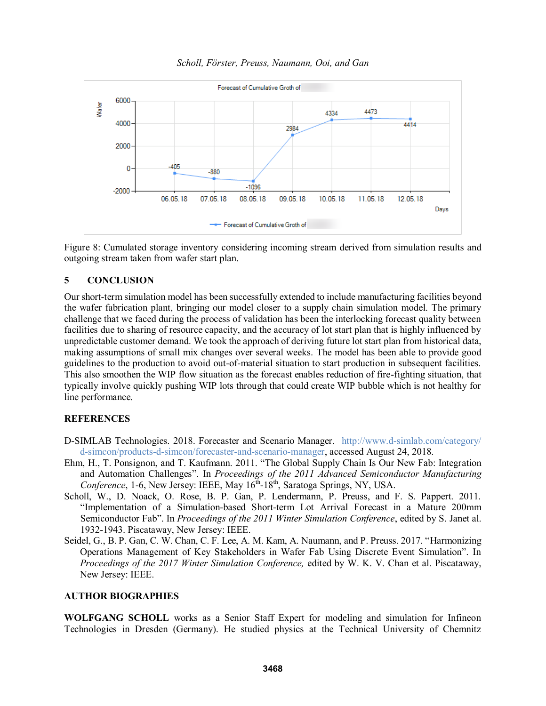



Figure 8: Cumulated storage inventory considering incoming stream derived from simulation results and outgoing stream taken from wafer start plan.

### **5 CONCLUSION**

Our short-term simulation model has been successfully extended to include manufacturing facilities beyond the wafer fabrication plant, bringing our model closer to a supply chain simulation model. The primary challenge that we faced during the process of validation has been the interlocking forecast quality between facilities due to sharing of resource capacity, and the accuracy of lot start plan that is highly influenced by unpredictable customer demand. We took the approach of deriving future lot start plan from historical data, making assumptions of small mix changes over several weeks. The model has been able to provide good guidelines to the production to avoid out-of-material situation to start production in subsequent facilities. This also smoothen the WIP flow situation as the forecast enables reduction of fire-fighting situation, that typically involve quickly pushing WIP lots through that could create WIP bubble which is not healthy for line performance.

### **REFERENCES**

- D-SIMLAB Technologies. 2018. Forecaster and Scenario Manager. http://www.d-simlab.com/category/ d-simcon/products-d-simcon/forecaster-and-scenario-manager, accessed August 24, 2018.
- Ehm, H., T. Ponsignon, and T. Kaufmann. 2011. "The Global Supply Chain Is Our New Fab: Integration and Automation Challenges". In *Proceedings of the 2011 Advanced Semiconductor Manufacturing*  Conference, 1-6, New Jersey: IEEE, May 16<sup>th</sup>-18<sup>th</sup>, Saratoga Springs, NY, USA.
- Scholl, W., D. Noack, O. Rose, B. P. Gan, P. Lendermann, P. Preuss, and F. S. Pappert. 2011. "Implementation of a Simulation-based Short-term Lot Arrival Forecast in a Mature 200mm Semiconductor Fab". In *Proceedings of the 2011 Winter Simulation Conference*, edited by S. Janet al. 1932-1943. Piscataway, New Jersey: IEEE.
- Seidel, G., B. P. Gan, C. W. Chan, C. F. Lee, A. M. Kam, A. Naumann, and P. Preuss. 2017. "Harmonizing Operations Management of Key Stakeholders in Wafer Fab Using Discrete Event Simulation". In *Proceedings of the 2017 Winter Simulation Conference,* edited by W. K. V. Chan et al. Piscataway, New Jersey: IEEE.

#### **AUTHOR BIOGRAPHIES**

**WOLFGANG SCHOLL** works as a Senior Staff Expert for modeling and simulation for Infineon Technologies in Dresden (Germany). He studied physics at the Technical University of Chemnitz